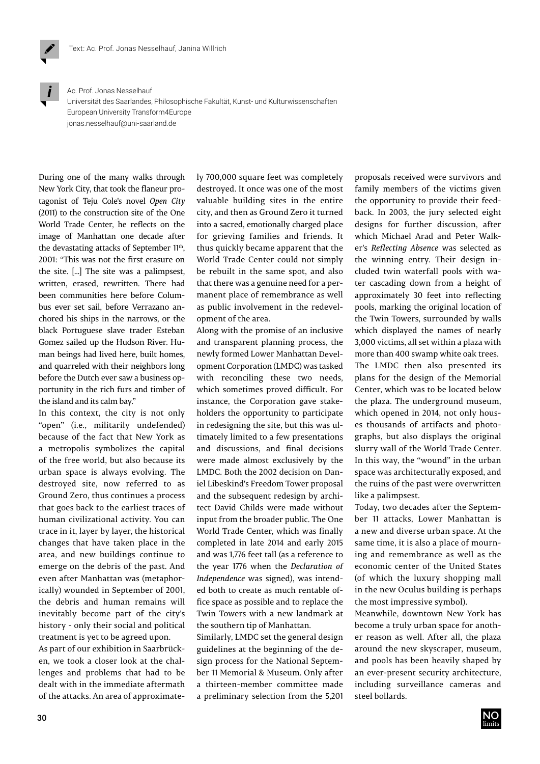

Ac. Prof. Jonas Nesselhauf

Universität des Saarlandes, Philosophische Fakultät, Kunst- und Kulturwissenschaften European University Transform4Europe jonas.nesselhauf@uni-saarland.de

During one of the many walks through New York City, that took the flaneur protagonist of Teju Cole's novel *Open City*  (2011) to the construction site of the One World Trade Center, he reflects on the image of Manhattan one decade after the devastating attacks of September 11<sup>th</sup>, 2001: "This was not the first erasure on the site. [...] The site was a palimpsest, written, erased, rewritten. There had been communities here before Columbus ever set sail, before Verrazano anchored his ships in the narrows, or the black Portuguese slave trader Esteban Gomez sailed up the Hudson River. Human beings had lived here, built homes, and quarreled with their neighbors long before the Dutch ever saw a business opportunity in the rich furs and timber of the island and its calm bay."

In this context, the city is not only "open" (i.e., militarily undefended) because of the fact that New York as a metropolis symbolizes the capital of the free world, but also because its urban space is always evolving. The destroyed site, now referred to as Ground Zero, thus continues a process that goes back to the earliest traces of human civilizational activity. You can trace in it, layer by layer, the historical changes that have taken place in the area, and new buildings continue to emerge on the debris of the past. And even after Manhattan was (metaphorically) wounded in September of 2001, the debris and human remains will inevitably become part of the city's history - only their social and political treatment is yet to be agreed upon.

As part of our exhibition in Saarbrücken, we took a closer look at the challenges and problems that had to be dealt with in the immediate aftermath of the attacks. An area of approximately 700,000 square feet was completely destroyed. It once was one of the most valuable building sites in the entire city, and then as Ground Zero it turned into a sacred, emotionally charged place for grieving families and friends. It thus quickly became apparent that the World Trade Center could not simply be rebuilt in the same spot, and also that there was a genuine need for a permanent place of remembrance as well as public involvement in the redevelopment of the area.

Along with the promise of an inclusive and transparent planning process, the newly formed Lower Manhattan Development Corporation (LMDC) was tasked with reconciling these two needs, which sometimes proved difficult. For instance, the Corporation gave stakeholders the opportunity to participate in redesigning the site, but this was ultimately limited to a few presentations and discussions, and final decisions were made almost exclusively by the LMDC. Both the 2002 decision on Daniel Libeskind's Freedom Tower proposal and the subsequent redesign by architect David Childs were made without input from the broader public. The One World Trade Center, which was finally completed in late 2014 and early 2015 and was 1,776 feet tall (as a reference to the year 1776 when the *Declaration of Independence* was signed), was intended both to create as much rentable office space as possible and to replace the Twin Towers with a new landmark at the southern tip of Manhattan.

Similarly, LMDC set the general design guidelines at the beginning of the design process for the National September 11 Memorial & Museum. Only after a thirteen-member committee made a preliminary selection from the 5,201 proposals received were survivors and family members of the victims given the opportunity to provide their feedback. In 2003, the jury selected eight designs for further discussion, after which Michael Arad and Peter Walker's *Reflecting Absence* was selected as the winning entry. Their design included twin waterfall pools with water cascading down from a height of approximately 30 feet into reflecting pools, marking the original location of the Twin Towers, surrounded by walls which displayed the names of nearly 3,000 victims, all set within a plaza with more than 400 swamp white oak trees. The LMDC then also presented its plans for the design of the Memorial Center, which was to be located below the plaza. The underground museum, which opened in 2014, not only houses thousands of artifacts and photographs, but also displays the original slurry wall of the World Trade Center. In this way, the "wound" in the urban space was architecturally exposed, and the ruins of the past were overwritten like a palimpsest.

Today, two decades after the September 11 attacks, Lower Manhattan is a new and diverse urban space. At the same time, it is also a place of mourning and remembrance as well as the economic center of the United States (of which the luxury shopping mall in the new Oculus building is perhaps the most impressive symbol).

Meanwhile, downtown New York has become a truly urban space for another reason as well. After all, the plaza around the new skyscraper, museum, and pools has been heavily shaped by an ever-present security architecture, including surveillance cameras and steel bollards.